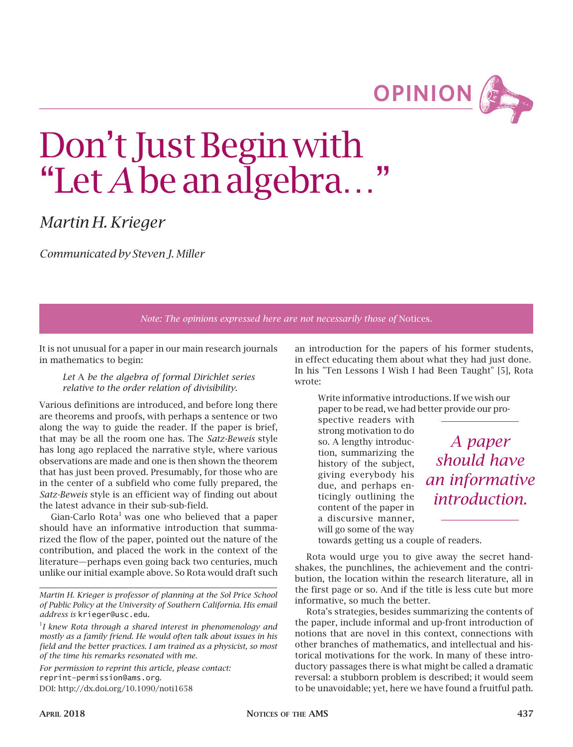

# Don't Just Begin with "Let *A* be an algebra…"

### *Martin H. Krieger*

*Communicated by Steven J. Miller*

*Note: The opinions expressed here are not necessarily those of* Notices*.* 

It is not unusual for a paper in our main research journals in mathematics to begin:

*Let* A *be the algebra of formal Dirichlet series relative to the order relation of divisibility*.

Various definitions are introduced, and before long there are theorems and proofs, with perhaps a sentence or two along the way to guide the reader. If the paper is brief, that may be all the room one has. The *Satz-Beweis* style has long ago replaced the narrative style, where various observations are made and one is then shown the theorem that has just been proved. Presumably, for those who are in the center of a subfield who come fully prepared, the *Satz-Beweis* style is an efficient way of finding out about the latest advance in their sub-sub-field.

Gian-Carlo Rota<sup>1</sup> was one who believed that a paper should have an informative introduction that summarized the flow of the paper, pointed out the nature of the contribution, and placed the work in the context of the literature—perhaps even going back two centuries, much unlike our initial example above. So Rota would draft such

*Martin H. Krieger is professor of planning at the Sol Price School of Public Policy at the University of Southern California. His email address is* krieger@usc.edu.

*For permission to reprint this article, please contact:* reprint-permission@ams.org. DOI: http://dx.doi.org/10.1090/noti1658

an introduction for the papers of his former students, in effect educating them about what they had just done. In his "Ten Lessons I Wish I had Been Taught" [5], Rota wrote:

Write informative introductions. If we wish our paper to be read, we had better provide our pro-

spective readers with strong motivation to do so. A lengthy introduction, summarizing the history of the subject, giving everybody his due, and perhaps enticingly outlining the content of the paper in a discursive manner, will go some of the way

*A paper should have an informative introduction.*

towards getting us a couple of readers.

Rota would urge you to give away the secret handshakes, the punchlines, the achievement and the contribution, the location within the research literature, all in the first page or so. And if the title is less cute but more informative, so much the better.

Rota's strategies, besides summarizing the contents of the paper, include informal and up-front introduction of notions that are novel in this context, connections with other branches of mathematics, and intellectual and historical motivations for the work. In many of these introductory passages there is what might be called a dramatic reversal: a stubborn problem is described; it would seem to be unavoidable; yet, here we have found a fruitful path.

<sup>1</sup> *I knew Rota through a shared interest in phenomenology and mostly as a family friend. He would often talk about issues in his field and the better practices. I am trained as a physicist, so most of the time his remarks resonated with me.*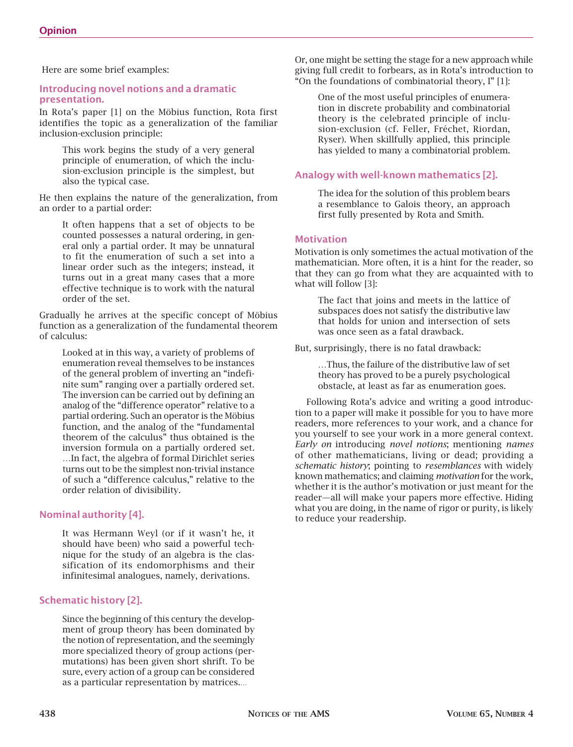Here are some brief examples:

#### Introducing novel notions and a dramatic presentation.

In Rota's paper [1] on the Möbius function, Rota first identifies the topic as a generalization of the familiar inclusion-exclusion principle:

This work begins the study of a very general principle of enumeration, of which the inclusion-exclusion principle is the simplest, but also the typical case.

He then explains the nature of the generalization, from an order to a partial order:

It often happens that a set of objects to be counted possesses a natural ordering, in general only a partial order. It may be unnatural to fit the enumeration of such a set into a linear order such as the integers; instead, it turns out in a great many cases that a more effective technique is to work with the natural order of the set.

Gradually he arrives at the specific concept of Möbius function as a generalization of the fundamental theorem of calculus:

Looked at in this way, a variety of problems of enumeration reveal themselves to be instances of the general problem of inverting an "indefinite sum" ranging over a partially ordered set. The inversion can be carried out by defining an analog of the "difference operator" relative to a partial ordering. Such an operator is the Möbius function, and the analog of the "fundamental theorem of the calculus" thus obtained is the inversion formula on a partially ordered set. …In fact, the algebra of formal Dirichlet series turns out to be the simplest non-trivial instance of such a "difference calculus," relative to the order relation of divisibility.

#### Nominal authority [4].

It was Hermann Weyl (or if it wasn't he, it should have been) who said a powerful technique for the study of an algebra is the classification of its endomorphisms and their infinitesimal analogues, namely, derivations.

#### Schematic history [2].

Since the beginning of this century the development of group theory has been dominated by the notion of representation, and the seemingly more specialized theory of group actions (permutations) has been given short shrift. To be sure, every action of a group can be considered as a particular representation by matrices.…

Or, one might be setting the stage for a new approach while giving full credit to forbears, as in Rota's introduction to "On the foundations of combinatorial theory, I" [1]:

One of the most useful principles of enumeration in discrete probability and combinatorial theory is the celebrated principle of inclusion-exclusion (cf. Feller, Fréchet, Riordan, Ryser). When skillfully applied, this principle has yielded to many a combinatorial problem.

#### Analogy with well-known mathematics [2].

The idea for the solution of this problem bears a resemblance to Galois theory, an approach first fully presented by Rota and Smith.

#### **Motivation**

Motivation is only sometimes the actual motivation of the mathematician. More often, it is a hint for the reader, so that they can go from what they are acquainted with to what will follow [3]:

The fact that joins and meets in the lattice of subspaces does not satisfy the distributive law that holds for union and intersection of sets was once seen as a fatal drawback.

But, surprisingly, there is no fatal drawback:

…Thus, the failure of the distributive law of set theory has proved to be a purely psychological obstacle, at least as far as enumeration goes.

Following Rota's advice and writing a good introduction to a paper will make it possible for you to have more readers, more references to your work, and a chance for you yourself to see your work in a more general context. *Early on* introducing *novel notions*; mentioning *names*  of other mathematicians, living or dead; providing a *schematic history*; pointing to *resemblances* with widely known mathematics; and claiming *motivation* for the work, whether it is the author's motivation or just meant for the reader—all will make your papers more effective. Hiding what you are doing, in the name of rigor or purity, is likely to reduce your readership.